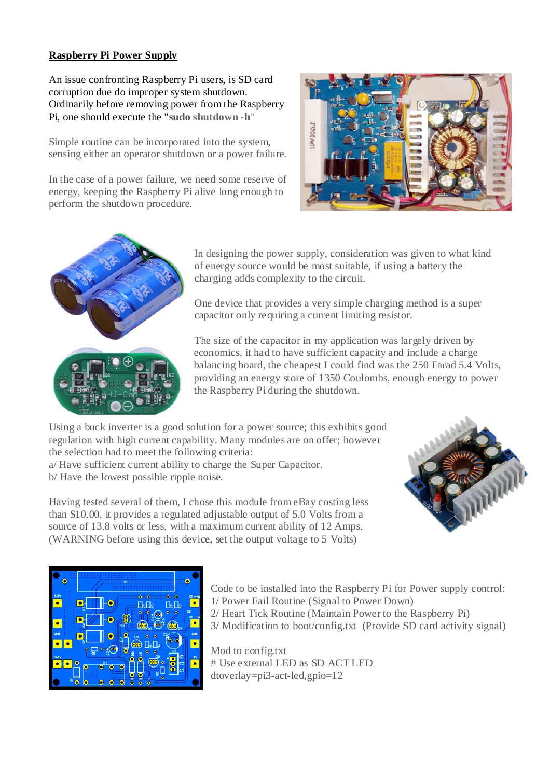# **Raspberry Pi Power Supply**

An issue confronting Raspberry Pi users, is SD card corruption due do improper system shutdown. Ordinarily before removing power from the Raspberry Pi, one should execute the "**sudo shutdown -h**"

Simple routine can be incorporated into the system, sensing either an operator shutdown or a power failure.

In the case of a power failure, we need some reserve of energy, keeping the Raspberry Pi alive long enough to perform the shutdown procedure.





In designing the power supply, consideration was given to what kind of energy source would be most suitable, if using a battery the charging adds complexity to the circuit.

One device that provides a very simple charging method is a super capacitor only requiring a current limiting resistor.

The size of the capacitor in my application was largely driven by economics, it had to have sufficient capacity and include a charge balancing board, the cheapest I could find was the 250 Farad 5.4 Volts, providing an energy store of 1350 Coulombs, enough energy to power the Raspberry Pi during the shutdown.

Using a buck inverter is a good solution for a power source; this exhibits good regulation with high current capability. Many modules are on offer; however the selection had to meet the following criteria:

a/ Have sufficient current ability to charge the Super Capacitor.

b/ Have the lowest possible ripple noise.



Having tested several of them, I chose this module from eBay costing less than \$10.00, it provides a regulated adjustable output of 5.0 Volts from a source of 13.8 volts or less, with a maximum current ability of 12 Amps. (WARNING before using this device, set the output voltage to 5 Volts)



Code to be installed into the Raspberry Pi for Power supply control: 1/ Power Fail Routine (Signal to Power Down)

- 2/ Heart Tick Routine (Maintain Power to the Raspberry Pi)
- 3/ Modification to boot/config.txt (Provide SD card activity signal)

Mod to config.txt # Use external LED as SD ACT LED dtoverlay=pi3-act-led,gpio=12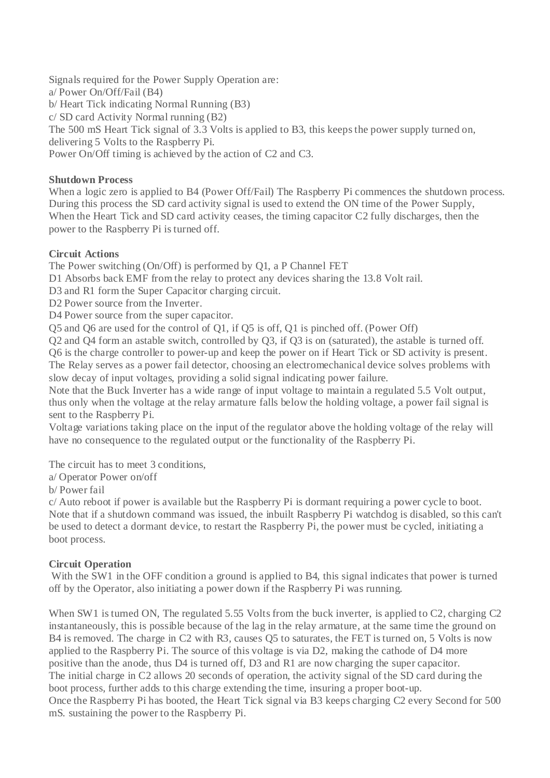Signals required for the Power Supply Operation are: a/ Power On/Off/Fail (B4) b/ Heart Tick indicating Normal Running (B3) c/ SD card Activity Normal running (B2) The 500 mS Heart Tick signal of 3.3 Volts is applied to B3, this keepsthe power supply turned on, delivering 5 Volts to the Raspberry Pi. Power On/Off timing is achieved by the action of C2 and C3.

## **Shutdown Process**

When a logic zero is applied to B4 (Power Off/Fail) The Raspberry Pi commences the shutdown process. During this process the SD card activity signal is used to extend the ON time of the Power Supply, When the Heart Tick and SD card activity ceases, the timing capacitor C2 fully discharges, then the power to the Raspberry Pi isturned off.

### **Circuit Actions**

The Power switching (On/Off) is performed by Q1, a P Channel FET

D1 Absorbs back EMF from the relay to protect any devices sharing the 13.8 Volt rail.

D<sub>3</sub> and R<sub>1</sub> form the Super Capacitor charging circuit.

D2 Power source from the Inverter.

D<sub>4</sub> Power source from the super capacitor.

Q5 and Q6 are used for the control of Q1, if Q5 is off, Q1 is pinched off. (Power Off)

Q2 and Q4 form an astable switch, controlled by Q3, if Q3 is on (saturated), the astable is turned off.

Q6 is the charge controller to power-up and keep the power on if Heart Tick or SD activity is present. The Relay serves as a power fail detector, choosing an electromechanical device solves problems with slow decay of input voltages, providing a solid signal indicating power failure.

Note that the Buck Inverter has a wide range of input voltage to maintain a regulated 5.5 Volt output, thus only when the voltage at the relay armature falls below the holding voltage, a power fail signal is sent to the Raspberry Pi.

Voltage variations taking place on the input of the regulator above the holding voltage of the relay will have no consequence to the regulated output or the functionality of the Raspberry Pi.

The circuit has to meet 3 conditions,

a/ Operator Power on/off

b/ Power fail

c/ Auto reboot if power is available but the Raspberry Pi is dormant requiring a power cycle to boot. Note that if a shutdown command was issued, the inbuilt Raspberry Pi watchdog is disabled, so this can't be used to detect a dormant device, to restart the Raspberry Pi, the power must be cycled, initiating a boot process.

#### **Circuit Operation**

With the SW1 in the OFF condition a ground is applied to B4, this signal indicates that power is turned off by the Operator, also initiating a power down if the Raspberry Pi was running.

When SW1 is turned ON, The regulated 5.55 Volts from the buck inverter, is applied to C2, charging C2 instantaneously, this is possible because of the lag in the relay armature, at the same time the ground on B4 is removed. The charge in C2 with R3, causes Q5 to saturates, the FET isturned on, 5 Volts is now applied to the Raspberry Pi. The source of this voltage is via D2, making the cathode of D4 more positive than the anode, thus D4 is turned off, D3 and R1 are now charging the super capacitor. The initial charge in C2 allows 20 seconds of operation, the activity signal of the SD card during the boot process, further adds to this charge extending the time, insuring a proper boot-up. Once the Raspberry Pi has booted, the Heart Tick signal via B3 keeps charging C2 every Second for 500 mS. sustaining the power to the Raspberry Pi.